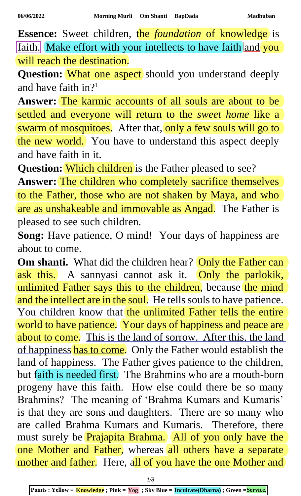**Essence:** Sweet children, the *foundation* of knowledge is faith. Make effort with your intellects to have faith and you will reach the destination.

Question: What one aspect should you understand deeply and have faith in?<sup>1</sup>

**Answer:** The karmic accounts of all souls are about to be settled and everyone will return to the *sweet home* like a swarm of mosquitoes. After that, only a few souls will go to the new world. You have to understand this aspect deeply and have faith in it.

**Question:** Which children is the Father pleased to see? **Answer:** The children who completely sacrifice themselves to the Father, those who are not shaken by Maya, and who are as unshakeable and immovable as Angad. The Father is pleased to see such children.

**Song:** Have patience, O mind! Your days of happiness are about to come.

**Om shanti.** What did the children hear? Only the Father can ask this. A sannyasi cannot ask it. Only the parlokik, unlimited Father says this to the children, because the mind and the intellect are in the soul. He tells souls to have patience. You children know that the unlimited Father tells the entire world to have patience. Your days of happiness and peace are about to come. This is the land of sorrow. After this, the land of happiness has to come. Only the Father would establish the land of happiness. The Father gives patience to the children, but faith is needed first. The Brahmins who are a mouth-born progeny have this faith. How else could there be so many Brahmins? The meaning of 'Brahma Kumars and Kumaris' is that they are sons and daughters. There are so many who are called Brahma Kumars and Kumaris. Therefore, there must surely be Prajapita Brahma. All of you only have the one Mother and Father, whereas all others have a separate mother and father. Here, all of you have the one Mother and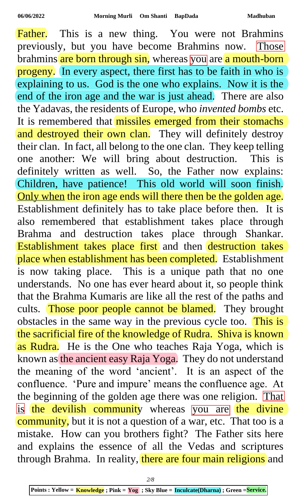Father. This is a new thing. You were not Brahmins previously, but you have become Brahmins now. Those brahmins are born through sin, whereas you are a mouth-born progeny. In every aspect, there first has to be faith in who is explaining to us. God is the one who explains. Now it is the end of the iron age and the war is just ahead. There are also the Yadavas, the residents of Europe, who *invented bombs* etc. It is remembered that missiles emerged from their stomachs and destroyed their own clan. They will definitely destroy their clan. In fact, all belong to the one clan. They keep telling one another: We will bring about destruction. This is definitely written as well. So, the Father now explains: Children, have patience! This old world will soon finish. Only when the iron age ends will there then be the golden age. Establishment definitely has to take place before then. It is also remembered that establishment takes place through Brahma and destruction takes place through Shankar. Establishment takes place first and then destruction takes place when establishment has been completed. Establishment is now taking place. This is a unique path that no one understands. No one has ever heard about it, so people think that the Brahma Kumaris are like all the rest of the paths and cults. Those poor people cannot be blamed. They brought obstacles in the same way in the previous cycle too. This is the sacrificial fire of the knowledge of Rudra. Shiva is known as Rudra. He is the One who teaches Raja Yoga, which is known as the ancient easy Raja Yoga. They do not understand the meaning of the word 'ancient'. It is an aspect of the confluence. 'Pure and impure' means the confluence age. At the beginning of the golden age there was one religion. That is the devilish community whereas you are the divine community, but it is not a question of a war, etc. That too is a mistake. How can you brothers fight? The Father sits here and explains the essence of all the Vedas and scriptures through Brahma. In reality, there are four main religions and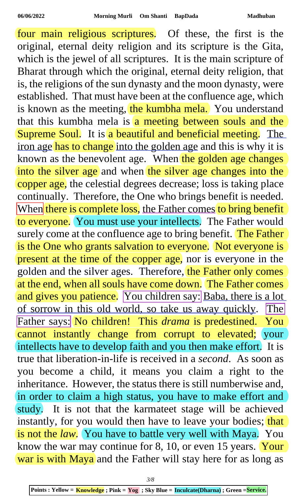four main religious scriptures. Of these, the first is the original, eternal deity religion and its scripture is the Gita, which is the jewel of all scriptures. It is the main scripture of Bharat through which the original, eternal deity religion, that is, the religions of the sun dynasty and the moon dynasty, were established. That must have been at the confluence age, which is known as the meeting, the kumbha mela. You understand that this kumbha mela is  $\alpha$  meeting between souls and the Supreme Soul. It is a beautiful and beneficial meeting. The iron age has to change into the golden age and this is why it is known as the benevolent age. When the golden age changes into the silver age and when the silver age changes into the copper age, the celestial degrees decrease; loss is taking place continually. Therefore, the One who brings benefit is needed. When there is complete loss, the Father comes to bring benefit to everyone. You must use your intellects. The Father would surely come at the confluence age to bring benefit. The Father is the One who grants salvation to everyone. Not everyone is present at the time of the copper age, nor is everyone in the golden and the silver ages. Therefore, the Father only comes at the end, when all souls have come down. The Father comes and gives you patience. You children say: Baba, there is a lot of sorrow in this old world, so take us away quickly. The Father says: No children! This *drama* is predestined. You cannot instantly change from corrupt to elevated; your intellects have to develop faith and you then make effort. It is true that liberation-in-life is received in a *second*. As soon as you become a child, it means you claim a right to the inheritance. However, the status there is still numberwise and, in order to claim a high status, you have to make effort and study. It is not that the karmateet stage will be achieved instantly, for you would then have to leave your bodies; that is not the *law*. You have to battle very well with Maya. You know the war may continue for 8, 10, or even 15 years. Your war is with Maya and the Father will stay here for as long as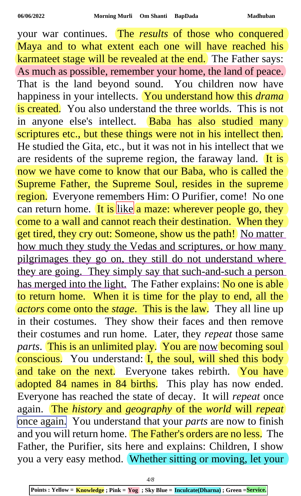your war continues. The *results* of those who conquered Maya and to what extent each one will have reached his karmateet stage will be revealed at the end. The Father says: As much as possible, remember your home, the land of peace. That is the land beyond sound. You children now have happiness in your intellects. You understand how this *drama* is created. You also understand the three worlds. This is not in anyone else's intellect. Baba has also studied many scriptures etc., but these things were not in his intellect then. He studied the Gita, etc., but it was not in his intellect that we are residents of the supreme region, the faraway land.  $\overline{It}$  is now we have come to know that our Baba, who is called the Supreme Father, the Supreme Soul, resides in the supreme region. Everyone remembers Him: O Purifier, come! No one can return home. It is like a maze: wherever people go, they come to a wall and cannot reach their destination. When they get tired, they cry out: Someone, show us the path! No matter how much they study the Vedas and scriptures, or how many pilgrimages they go on, they still do not understand where they are going. They simply say that such-and-such a person has merged into the light. The Father explains: No one is able to return home. When it is time for the play to end, all the *actors* come onto the *stage*. This is the law. They all line up in their costumes. They show their faces and then remove their costumes and run home. Later, they *repeat* those same parts. This is an unlimited play. You are now becoming soul conscious. You understand: I, the soul, will shed this body and take on the next. Everyone takes rebirth. You have adopted 84 names in 84 births. This play has now ended. Everyone has reached the state of decay. It will *repeat* once again. The *history* and *geography* of the *world* will *repeat* once again. You understand that your *parts* are now to finish and you will return home. The Father's orders are no less. The Father, the Purifier, sits here and explains: Children, I show you a very easy method. Whether sitting or moving, let your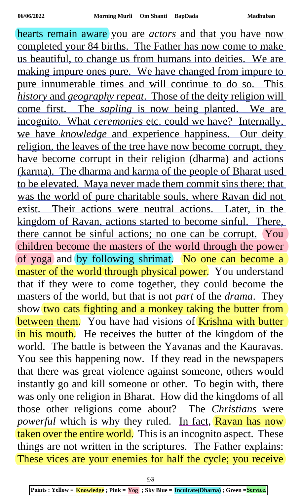hearts remain aware you are *actors* and that you have now completed your 84 births. The Father has now come to make us beautiful, to change us from humans into deities. We are making impure ones pure. We have changed from impure to pure innumerable times and will continue to do so. This *history* and *geography repeat*. Those of the deity religion will come first. The *sapling* is now being planted. We are incognito. What *ceremonies* etc. could we have? Internally, we have *knowledge* and experience happiness. Our deity religion, the leaves of the tree have now become corrupt, they have become corrupt in their religion (dharma) and actions (karma). The dharma and karma of the people of Bharat used to be elevated. Maya never made them commit sins there; that was the world of pure charitable souls, where Ravan did not exist. Their actions were neutral actions. Later, in the kingdom of Ravan, actions started to become sinful. There, there cannot be sinful actions; no one can be corrupt. You children become the masters of the world through the power of yoga and by following shrimat. No one can become a master of the world through physical power. You understand that if they were to come together, they could become the masters of the world, but that is not *part* of the *drama*. They show two cats fighting and a monkey taking the butter from between them. You have had visions of Krishna with butter in his mouth. He receives the butter of the kingdom of the world. The battle is between the Yavanas and the Kauravas. You see this happening now. If they read in the newspapers that there was great violence against someone, others would instantly go and kill someone or other. To begin with, there was only one religion in Bharat. How did the kingdoms of all those other religions come about? The *Christians* were *powerful* which is why they ruled. In fact, Ravan has now taken over the entire world. This is an incognito aspect. These things are not written in the scriptures. The Father explains: These vices are your enemies for half the cycle; you receive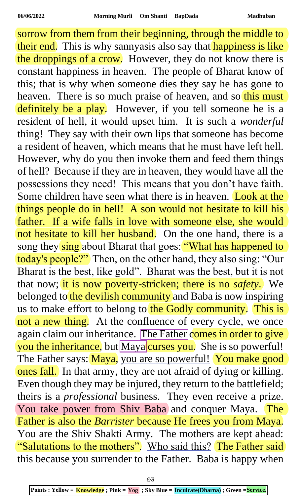sorrow from them from their beginning, through the middle to their end. This is why sannyasis also say that happiness is like the droppings of a crow. However, they do not know there is constant happiness in heaven. The people of Bharat know of this; that is why when someone dies they say he has gone to heaven. There is so much praise of heaven, and so this must definitely be a play. However, if you tell someone he is a resident of hell, it would upset him. It is such a *wonderful* thing! They say with their own lips that someone has become a resident of heaven, which means that he must have left hell. However, why do you then invoke them and feed them things of hell? Because if they are in heaven, they would have all the possessions they need! This means that you don't have faith. Some children have seen what there is in heaven. Look at the things people do in hell! A son would not hesitate to kill his father. If a wife falls in love with someone else, she would not hesitate to kill her husband. On the one hand, there is a song they sing about Bharat that goes: "What has happened to today's people?" Then, on the other hand, they also sing: "Our Bharat is the best, like gold". Bharat was the best, but it is not that now; it is now poverty-stricken; there is no *safety*. We belonged to the devilish community and Baba is now inspiring us to make effort to belong to the Godly community. This is not a new thing. At the confluence of every cycle, we once again claim our inheritance. The Father comes in order to give you the inheritance, but Maya curses you. She is so powerful! The Father says: Maya, you are so powerful! You make good ones fall. In that army, they are not afraid of dying or killing. Even though they may be injured, they return to the battlefield; theirs is a *professional* business. They even receive a prize. You take power from Shiv Baba and conquer Maya. The Father is also the *Barrister* because He frees you from Maya. You are the Shiv Shakti Army. The mothers are kept ahead: "Salutations to the mothers". Who said this? The Father said this because you surrender to the Father. Baba is happy when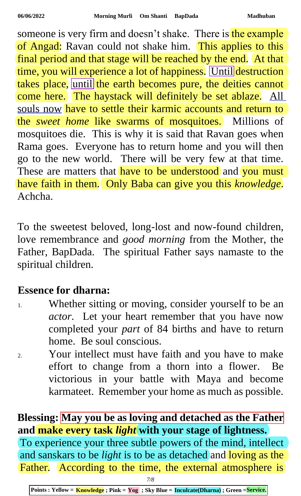someone is very firm and doesn't shake. There is the example of Angad: Ravan could not shake him. This applies to this final period and that stage will be reached by the end. At that time, you will experience a lot of happiness. Until destruction takes place, until the earth becomes pure, the deities cannot come here. The haystack will definitely be set ablaze. All souls now have to settle their karmic accounts and return to the *sweet home* like swarms of mosquitoes. Millions of mosquitoes die. This is why it is said that Ravan goes when Rama goes. Everyone has to return home and you will then go to the new world. There will be very few at that time. These are matters that have to be understood and you must have faith in them. Only Baba can give you this *knowledge*. Achcha.

To the sweetest beloved, long-lost and now-found children, love remembrance and *good morning* from the Mother, the Father, BapDada. The spiritual Father says namaste to the spiritual children.

## **Essence for dharna:**

- 1. Whether sitting or moving, consider yourself to be an *actor*. Let your heart remember that you have now completed your *part* of 84 births and have to return home. Be soul conscious.
- 2. Your intellect must have faith and you have to make effort to change from a thorn into a flower. Be victorious in your battle with Maya and become karmateet. Remember your home as much as possible.

## **Blessing: May you be as loving and detached as the Father and make every task** *light* **with your stage of lightness.**

To experience your three subtle powers of the mind, intellect and sanskars to be *light* is to be as detached and loving as the Father. According to the time, the external atmosphere is